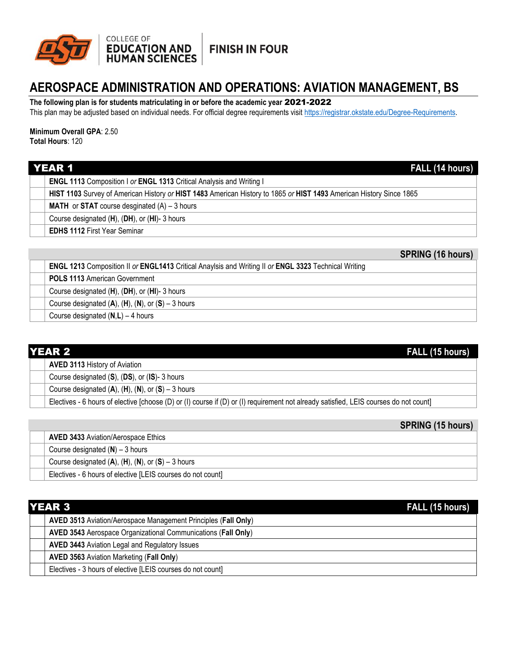

**FINISH IN FOUR** 

## **AEROSPACE ADMINISTRATION AND OPERATIONS: AVIATION MANAGEMENT, BS**

**The following plan is for students matriculating in or before the academic year** 2021-2022

This plan may be adjusted based on individual needs. For official degree requirements visit [https://registrar.okstate.edu/Degree-Requirements.](https://registrar.okstate.edu/Degree-Requirements)

## **Minimum Overall GPA**: 2.50

**Total Hours**: 120

| <b>YEAR 1</b><br>FALL (14 hours) |                                                                                                                     |
|----------------------------------|---------------------------------------------------------------------------------------------------------------------|
|                                  | <b>ENGL 1113</b> Composition I or <b>ENGL 1313</b> Critical Analysis and Writing I                                  |
|                                  | HIST 1103 Survey of American History or HIST 1483 American History to 1865 or HIST 1493 American History Since 1865 |
|                                  | <b>MATH</b> or <b>STAT</b> course desginated $(A) - 3$ hours                                                        |
|                                  | Course designated (H), (DH), or (HI)-3 hours                                                                        |
|                                  | <b>EDHS 1112 First Year Seminar</b>                                                                                 |

# **SPRING (16 hours)**

| <b>ENGL 1213</b> Composition II or ENGL1413 Critical Anaylsis and Writing II or ENGL 3323 Technical Writing |
|-------------------------------------------------------------------------------------------------------------|
| <b>POLS 1113 American Government</b>                                                                        |
| Course designated (H), (DH), or (HI)-3 hours                                                                |
| Course designated $(A)$ , $(H)$ , $(N)$ , or $(S)$ – 3 hours                                                |
| Course designated $(N,L) - 4$ hours                                                                         |

|  | <b>YEAR 2</b><br>FALL (15 hours) |                                                                                                                                       |
|--|----------------------------------|---------------------------------------------------------------------------------------------------------------------------------------|
|  |                                  | <b>AVED 3113 History of Aviation</b>                                                                                                  |
|  |                                  | Course designated (S), (DS), or (IS)-3 hours                                                                                          |
|  |                                  | Course designated $(A)$ , $(H)$ , $(N)$ , or $(S)$ – 3 hours                                                                          |
|  |                                  | Electives - 6 hours of elective [choose (D) or (I) course if (D) or (I) requirement not already satisfied, LEIS courses do not count] |

|                                                              | <b>SPRING (15 hours)</b> |
|--------------------------------------------------------------|--------------------------|
| <b>AVED 3433 Aviation/Aerospace Ethics</b>                   |                          |
| Course designated $(N)$ – 3 hours                            |                          |
| Course designated $(A)$ , $(H)$ , $(N)$ , or $(S)$ – 3 hours |                          |
| Electives - 6 hours of elective [LEIS courses do not count]  |                          |

| <b>YEAR 3</b> |                                                                | FALL (15 hours) |
|---------------|----------------------------------------------------------------|-----------------|
|               | AVED 3513 Aviation/Aerospace Management Principles (Fall Only) |                 |
|               | AVED 3543 Aerospace Organizational Communications (Fall Only)  |                 |
|               | <b>AVED 3443 Aviation Legal and Regulatory Issues</b>          |                 |
|               | <b>AVED 3563 Aviation Marketing (Fall Only)</b>                |                 |
|               | Electives - 3 hours of elective [LEIS courses do not count]    |                 |